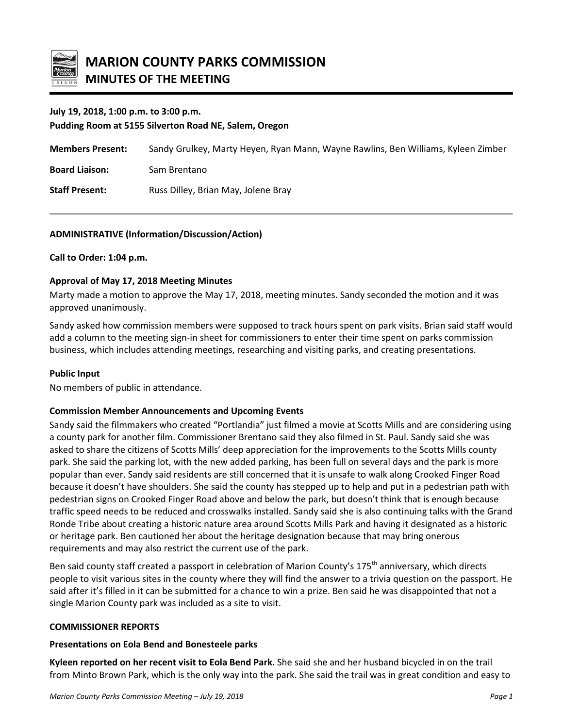

# **July 19, 2018, 1:00 p.m. to 3:00 p.m.**

**Pudding Room at 5155 Silverton Road NE, Salem, Oregon**

| <b>Members Present:</b> | Sandy Grulkey, Marty Heyen, Ryan Mann, Wayne Rawlins, Ben Williams, Kyleen Zimber |
|-------------------------|-----------------------------------------------------------------------------------|
| <b>Board Liaison:</b>   | Sam Brentano                                                                      |
| <b>Staff Present:</b>   | Russ Dilley, Brian May, Jolene Bray                                               |

## **ADMINISTRATIVE (Information/Discussion/Action)**

## **Call to Order: 1:04 p.m.**

## **Approval of May 17, 2018 Meeting Minutes**

Marty made a motion to approve the May 17, 2018, meeting minutes. Sandy seconded the motion and it was approved unanimously.

Sandy asked how commission members were supposed to track hours spent on park visits. Brian said staff would add a column to the meeting sign-in sheet for commissioners to enter their time spent on parks commission business, which includes attending meetings, researching and visiting parks, and creating presentations.

## **Public Input**

No members of public in attendance.

## **Commission Member Announcements and Upcoming Events**

Sandy said the filmmakers who created "Portlandia" just filmed a movie at Scotts Mills and are considering using a county park for another film. Commissioner Brentano said they also filmed in St. Paul. Sandy said she was asked to share the citizens of Scotts Mills' deep appreciation for the improvements to the Scotts Mills county park. She said the parking lot, with the new added parking, has been full on several days and the park is more popular than ever. Sandy said residents are still concerned that it is unsafe to walk along Crooked Finger Road because it doesn't have shoulders. She said the county has stepped up to help and put in a pedestrian path with pedestrian signs on Crooked Finger Road above and below the park, but doesn't think that is enough because traffic speed needs to be reduced and crosswalks installed. Sandy said she is also continuing talks with the Grand Ronde Tribe about creating a historic nature area around Scotts Mills Park and having it designated as a historic or heritage park. Ben cautioned her about the heritage designation because that may bring onerous requirements and may also restrict the current use of the park.

Ben said county staff created a passport in celebration of Marion County's 175<sup>th</sup> anniversary, which directs people to visit various sites in the county where they will find the answer to a trivia question on the passport. He said after it's filled in it can be submitted for a chance to win a prize. Ben said he was disappointed that not a single Marion County park was included as a site to visit.

## **COMMISSIONER REPORTS**

#### **Presentations on Eola Bend and Bonesteele parks**

**Kyleen reported on her recent visit to Eola Bend Park.** She said she and her husband bicycled in on the trail from Minto Brown Park, which is the only way into the park. She said the trail was in great condition and easy to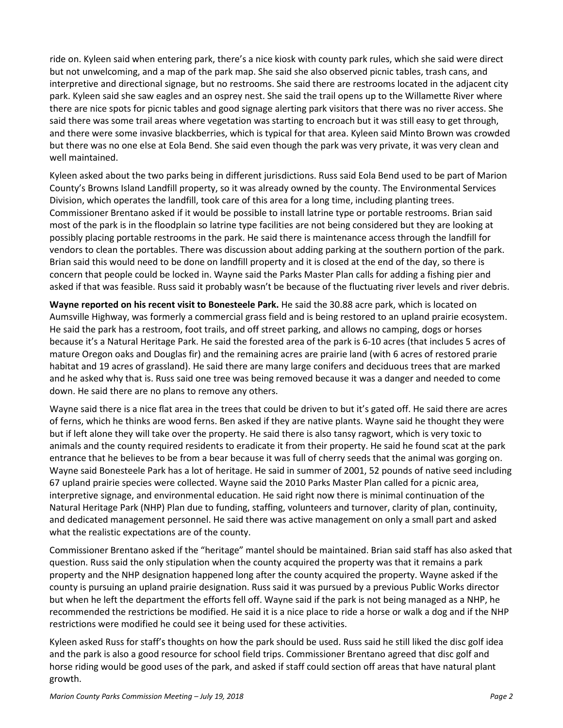ride on. Kyleen said when entering park, there's a nice kiosk with county park rules, which she said were direct but not unwelcoming, and a map of the park map. She said she also observed picnic tables, trash cans, and interpretive and directional signage, but no restrooms. She said there are restrooms located in the adjacent city park. Kyleen said she saw eagles and an osprey nest. She said the trail opens up to the Willamette River where there are nice spots for picnic tables and good signage alerting park visitors that there was no river access. She said there was some trail areas where vegetation was starting to encroach but it was still easy to get through, and there were some invasive blackberries, which is typical for that area. Kyleen said Minto Brown was crowded but there was no one else at Eola Bend. She said even though the park was very private, it was very clean and well maintained.

Kyleen asked about the two parks being in different jurisdictions. Russ said Eola Bend used to be part of Marion County's Browns Island Landfill property, so it was already owned by the county. The Environmental Services Division, which operates the landfill, took care of this area for a long time, including planting trees. Commissioner Brentano asked if it would be possible to install latrine type or portable restrooms. Brian said most of the park is in the floodplain so latrine type facilities are not being considered but they are looking at possibly placing portable restrooms in the park. He said there is maintenance access through the landfill for vendors to clean the portables. There was discussion about adding parking at the southern portion of the park. Brian said this would need to be done on landfill property and it is closed at the end of the day, so there is concern that people could be locked in. Wayne said the Parks Master Plan calls for adding a fishing pier and asked if that was feasible. Russ said it probably wasn't be because of the fluctuating river levels and river debris.

**Wayne reported on his recent visit to Bonesteele Park.** He said the 30.88 acre park, which is located on Aumsville Highway, was formerly a commercial grass field and is being restored to an upland prairie ecosystem. He said the park has a restroom, foot trails, and off street parking, and allows no camping, dogs or horses because it's a Natural Heritage Park. He said the forested area of the park is 6-10 acres (that includes 5 acres of mature Oregon oaks and Douglas fir) and the remaining acres are prairie land (with 6 acres of restored prarie habitat and 19 acres of grassland). He said there are many large conifers and deciduous trees that are marked and he asked why that is. Russ said one tree was being removed because it was a danger and needed to come down. He said there are no plans to remove any others.

Wayne said there is a nice flat area in the trees that could be driven to but it's gated off. He said there are acres of ferns, which he thinks are wood ferns. Ben asked if they are native plants. Wayne said he thought they were but if left alone they will take over the property. He said there is also tansy ragwort, which is very toxic to animals and the county required residents to eradicate it from their property. He said he found scat at the park entrance that he believes to be from a bear because it was full of cherry seeds that the animal was gorging on. Wayne said Bonesteele Park has a lot of heritage. He said in summer of 2001, 52 pounds of native seed including 67 upland prairie species were collected. Wayne said the 2010 Parks Master Plan called for a picnic area, interpretive signage, and environmental education. He said right now there is minimal continuation of the Natural Heritage Park (NHP) Plan due to funding, staffing, volunteers and turnover, clarity of plan, continuity, and dedicated management personnel. He said there was active management on only a small part and asked what the realistic expectations are of the county.

Commissioner Brentano asked if the "heritage" mantel should be maintained. Brian said staff has also asked that question. Russ said the only stipulation when the county acquired the property was that it remains a park property and the NHP designation happened long after the county acquired the property. Wayne asked if the county is pursuing an upland prairie designation. Russ said it was pursued by a previous Public Works director but when he left the department the efforts fell off. Wayne said if the park is not being managed as a NHP, he recommended the restrictions be modified. He said it is a nice place to ride a horse or walk a dog and if the NHP restrictions were modified he could see it being used for these activities.

Kyleen asked Russ for staff's thoughts on how the park should be used. Russ said he still liked the disc golf idea and the park is also a good resource for school field trips. Commissioner Brentano agreed that disc golf and horse riding would be good uses of the park, and asked if staff could section off areas that have natural plant growth.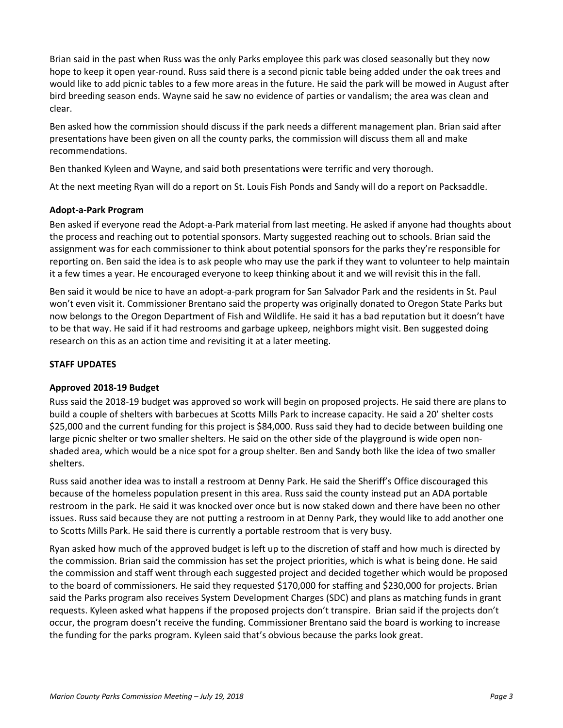Brian said in the past when Russ was the only Parks employee this park was closed seasonally but they now hope to keep it open year-round. Russ said there is a second picnic table being added under the oak trees and would like to add picnic tables to a few more areas in the future. He said the park will be mowed in August after bird breeding season ends. Wayne said he saw no evidence of parties or vandalism; the area was clean and clear.

Ben asked how the commission should discuss if the park needs a different management plan. Brian said after presentations have been given on all the county parks, the commission will discuss them all and make recommendations.

Ben thanked Kyleen and Wayne, and said both presentations were terrific and very thorough.

At the next meeting Ryan will do a report on St. Louis Fish Ponds and Sandy will do a report on Packsaddle.

## **Adopt-a-Park Program**

Ben asked if everyone read the Adopt-a-Park material from last meeting. He asked if anyone had thoughts about the process and reaching out to potential sponsors. Marty suggested reaching out to schools. Brian said the assignment was for each commissioner to think about potential sponsors for the parks they're responsible for reporting on. Ben said the idea is to ask people who may use the park if they want to volunteer to help maintain it a few times a year. He encouraged everyone to keep thinking about it and we will revisit this in the fall.

Ben said it would be nice to have an adopt-a-park program for San Salvador Park and the residents in St. Paul won't even visit it. Commissioner Brentano said the property was originally donated to Oregon State Parks but now belongs to the Oregon Department of Fish and Wildlife. He said it has a bad reputation but it doesn't have to be that way. He said if it had restrooms and garbage upkeep, neighbors might visit. Ben suggested doing research on this as an action time and revisiting it at a later meeting.

## **STAFF UPDATES**

## **Approved 2018-19 Budget**

Russ said the 2018-19 budget was approved so work will begin on proposed projects. He said there are plans to build a couple of shelters with barbecues at Scotts Mills Park to increase capacity. He said a 20' shelter costs \$25,000 and the current funding for this project is \$84,000. Russ said they had to decide between building one large picnic shelter or two smaller shelters. He said on the other side of the playground is wide open nonshaded area, which would be a nice spot for a group shelter. Ben and Sandy both like the idea of two smaller shelters.

Russ said another idea was to install a restroom at Denny Park. He said the Sheriff's Office discouraged this because of the homeless population present in this area. Russ said the county instead put an ADA portable restroom in the park. He said it was knocked over once but is now staked down and there have been no other issues. Russ said because they are not putting a restroom in at Denny Park, they would like to add another one to Scotts Mills Park. He said there is currently a portable restroom that is very busy.

Ryan asked how much of the approved budget is left up to the discretion of staff and how much is directed by the commission. Brian said the commission has set the project priorities, which is what is being done. He said the commission and staff went through each suggested project and decided together which would be proposed to the board of commissioners. He said they requested \$170,000 for staffing and \$230,000 for projects. Brian said the Parks program also receives System Development Charges (SDC) and plans as matching funds in grant requests. Kyleen asked what happens if the proposed projects don't transpire. Brian said if the projects don't occur, the program doesn't receive the funding. Commissioner Brentano said the board is working to increase the funding for the parks program. Kyleen said that's obvious because the parks look great.